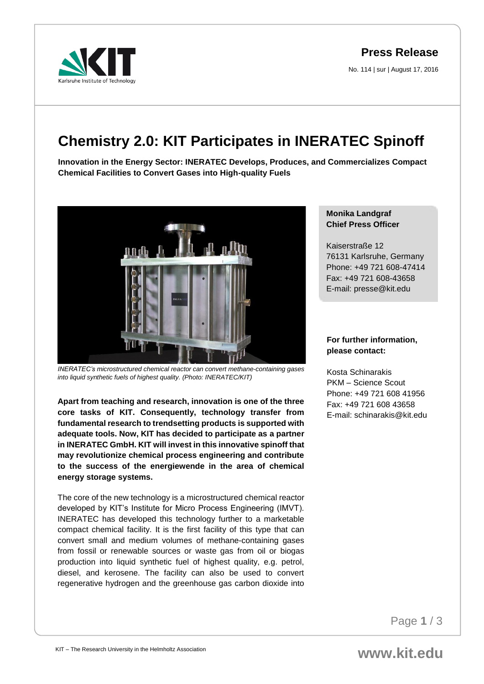No. 114 | sur | August 17, 2016

## **Chemistry 2.0: KIT Participates in INERATEC Spinoff**

**Innovation in the Energy Sector: INERATEC Develops, Produces, and Commercializes Compact Chemical Facilities to Convert Gases into High-quality Fuels** 



*INERATEC's microstructured chemical reactor can convert methane-containing gases into liquid synthetic fuels of highest quality. (Photo: INERATEC/KIT)*

**Apart from teaching and research, innovation is one of the three core tasks of KIT. Consequently, technology transfer from fundamental research to trendsetting products is supported with adequate tools. Now, KIT has decided to participate as a partner in INERATEC GmbH. KIT will invest in this innovative spinoff that may revolutionize chemical process engineering and contribute to the success of the energiewende in the area of chemical energy storage systems.** 

The core of the new technology is a microstructured chemical reactor developed by KIT's Institute for Micro Process Engineering (IMVT). INERATEC has developed this technology further to a marketable compact chemical facility. It is the first facility of this type that can convert small and medium volumes of methane-containing gases from fossil or renewable sources or waste gas from oil or biogas production into liquid synthetic fuel of highest quality, e.g. petrol, diesel, and kerosene. The facility can also be used to convert regenerative hydrogen and the greenhouse gas carbon dioxide into

## **Monika Landgraf Chief Press Officer**

Kaiserstraße 12 76131 Karlsruhe, Germany Phone: +49 721 608-47414 Fax: +49 721 608-43658 E-mail: presse@kit.edu

## **For further information, please contact:**

Kosta Schinarakis PKM – Science Scout Phone: +49 721 608 41956 Fax: +49 721 608 43658 E-mail: schinarakis@kit.edu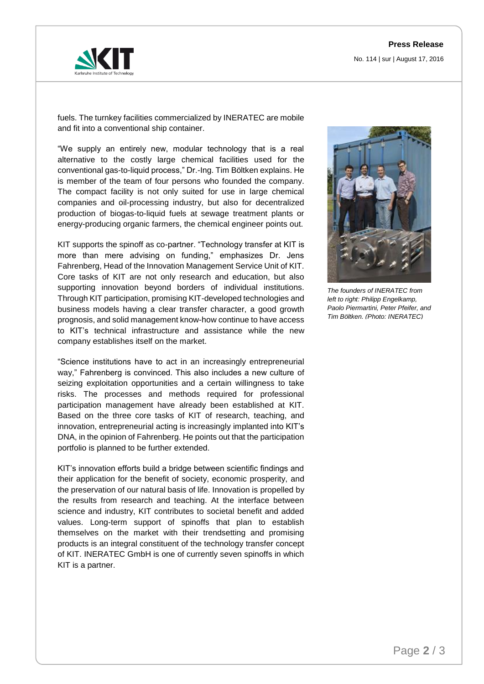

fuels. The turnkey facilities commercialized by INERATEC are mobile and fit into a conventional ship container.

"We supply an entirely new, modular technology that is a real alternative to the costly large chemical facilities used for the conventional gas-to-liquid process," Dr.-Ing. Tim Böltken explains. He is member of the team of four persons who founded the company. The compact facility is not only suited for use in large chemical companies and oil-processing industry, but also for decentralized production of biogas-to-liquid fuels at sewage treatment plants or energy-producing organic farmers, the chemical engineer points out.

KIT supports the spinoff as co-partner. "Technology transfer at KIT is more than mere advising on funding," emphasizes Dr. Jens Fahrenberg, Head of the Innovation Management Service Unit of KIT. Core tasks of KIT are not only research and education, but also supporting innovation beyond borders of individual institutions. Through KIT participation, promising KIT-developed technologies and business models having a clear transfer character, a good growth prognosis, and solid management know-how continue to have access to KIT's technical infrastructure and assistance while the new company establishes itself on the market.

"Science institutions have to act in an increasingly entrepreneurial way," Fahrenberg is convinced. This also includes a new culture of seizing exploitation opportunities and a certain willingness to take risks. The processes and methods required for professional participation management have already been established at KIT. Based on the three core tasks of KIT of research, teaching, and innovation, entrepreneurial acting is increasingly implanted into KIT's DNA, in the opinion of Fahrenberg. He points out that the participation portfolio is planned to be further extended.

KIT's innovation efforts build a bridge between scientific findings and their application for the benefit of society, economic prosperity, and the preservation of our natural basis of life. Innovation is propelled by the results from research and teaching. At the interface between science and industry, KIT contributes to societal benefit and added values. Long-term support of spinoffs that plan to establish themselves on the market with their trendsetting and promising products is an integral constituent of the technology transfer concept of KIT. INERATEC GmbH is one of currently seven spinoffs in which KIT is a partner.



*The founders of INERATEC from left to right: Philipp Engelkamp, Paolo Piermartini, Peter Pfeifer, and Tim Böltken. (Photo: INERATEC)*